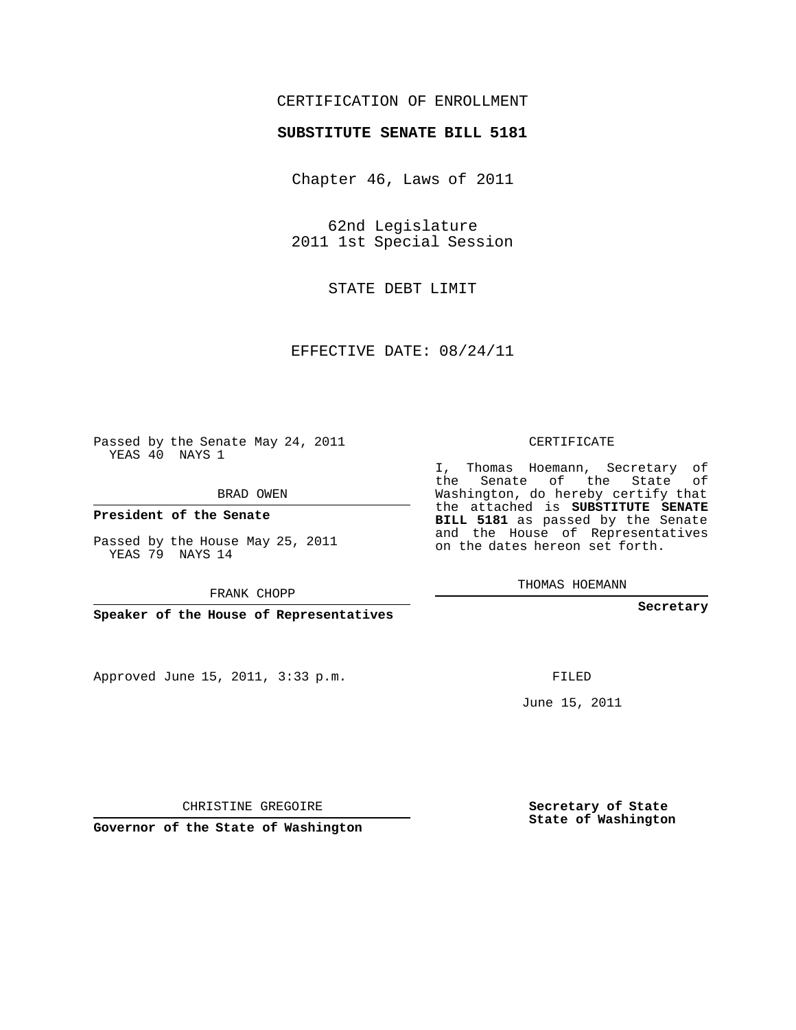## CERTIFICATION OF ENROLLMENT

## **SUBSTITUTE SENATE BILL 5181**

Chapter 46, Laws of 2011

62nd Legislature 2011 1st Special Session

STATE DEBT LIMIT

EFFECTIVE DATE: 08/24/11

**Contract Contract** 

Passed by the Senate May 24, 2011 YEAS 40 NAYS 1

BRAD OWEN

**President of the Senate**

Passed by the House May 25, 2011 YEAS 79 NAYS 14

FRANK CHOPP

**Speaker of the House of Representatives**

Approved June 15, 2011, 3:33 p.m.

CERTIFICATE

I, Thomas Hoemann, Secretary of the Senate of the State of Washington, do hereby certify that the attached is **SUBSTITUTE SENATE BILL 5181** as passed by the Senate and the House of Representatives on the dates hereon set forth.

THOMAS HOEMANN

**Secretary**

FILED

June 15, 2011

**Secretary of State State of Washington**

CHRISTINE GREGOIRE

**Governor of the State of Washington**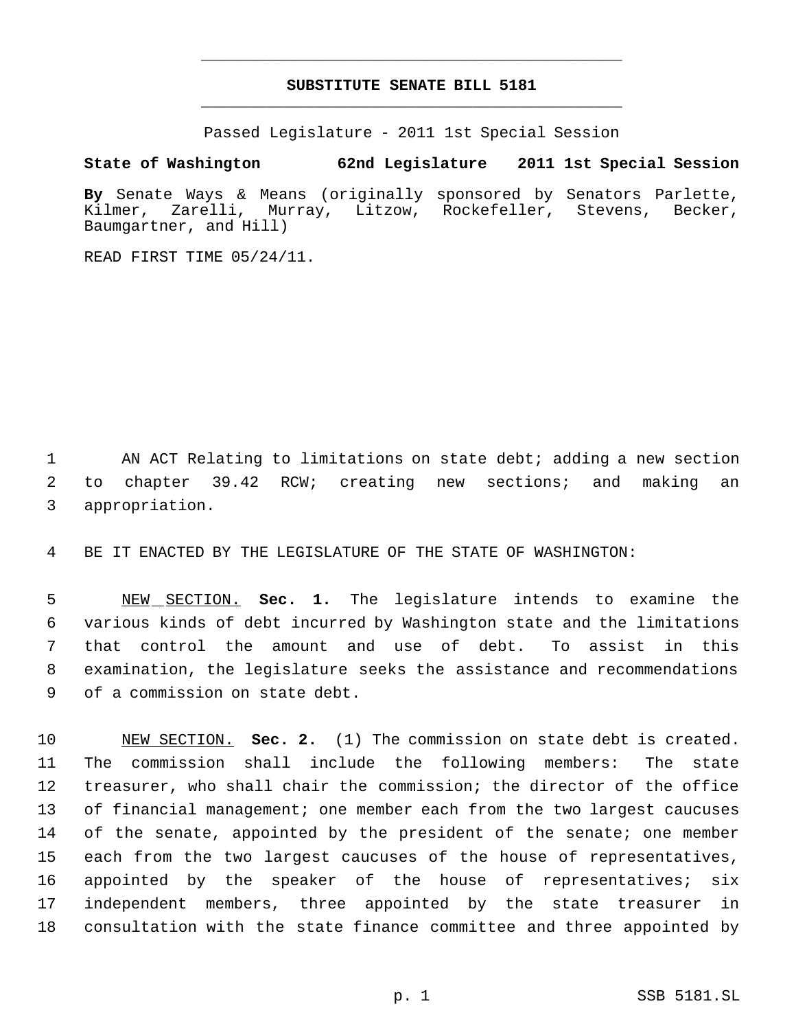## **SUBSTITUTE SENATE BILL 5181** \_\_\_\_\_\_\_\_\_\_\_\_\_\_\_\_\_\_\_\_\_\_\_\_\_\_\_\_\_\_\_\_\_\_\_\_\_\_\_\_\_\_\_\_\_

\_\_\_\_\_\_\_\_\_\_\_\_\_\_\_\_\_\_\_\_\_\_\_\_\_\_\_\_\_\_\_\_\_\_\_\_\_\_\_\_\_\_\_\_\_

Passed Legislature - 2011 1st Special Session

**State of Washington 62nd Legislature 2011 1st Special Session**

**By** Senate Ways & Means (originally sponsored by Senators Parlette, Kilmer, Zarelli, Murray, Litzow, Rockefeller, Stevens, Becker, Baumgartner, and Hill)

READ FIRST TIME 05/24/11.

1 AN ACT Relating to limitations on state debt; adding a new section 2 to chapter 39.42 RCW; creating new sections; and making an 3 appropriation.

4 BE IT ENACTED BY THE LEGISLATURE OF THE STATE OF WASHINGTON:

 NEW SECTION. **Sec. 1.** The legislature intends to examine the various kinds of debt incurred by Washington state and the limitations that control the amount and use of debt. To assist in this examination, the legislature seeks the assistance and recommendations of a commission on state debt.

 NEW SECTION. **Sec. 2.** (1) The commission on state debt is created. The commission shall include the following members: The state treasurer, who shall chair the commission; the director of the office of financial management; one member each from the two largest caucuses 14 of the senate, appointed by the president of the senate; one member each from the two largest caucuses of the house of representatives, appointed by the speaker of the house of representatives; six independent members, three appointed by the state treasurer in consultation with the state finance committee and three appointed by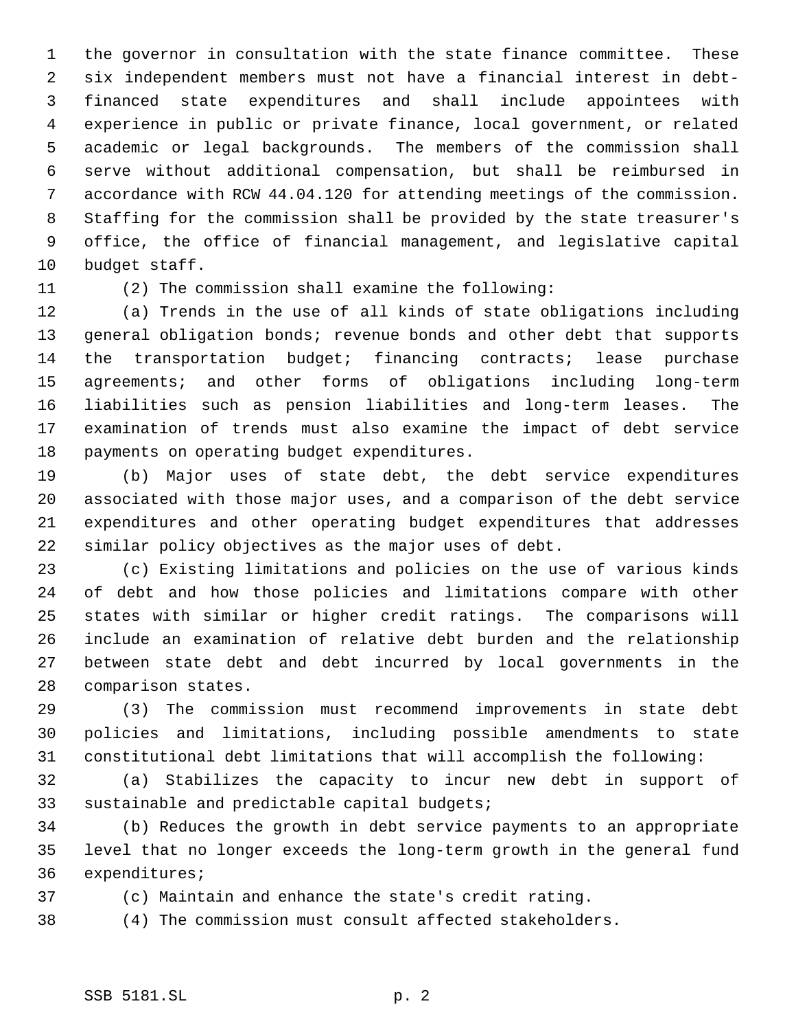the governor in consultation with the state finance committee. These six independent members must not have a financial interest in debt- financed state expenditures and shall include appointees with experience in public or private finance, local government, or related academic or legal backgrounds. The members of the commission shall serve without additional compensation, but shall be reimbursed in accordance with RCW 44.04.120 for attending meetings of the commission. Staffing for the commission shall be provided by the state treasurer's office, the office of financial management, and legislative capital budget staff.

(2) The commission shall examine the following:

 (a) Trends in the use of all kinds of state obligations including general obligation bonds; revenue bonds and other debt that supports the transportation budget; financing contracts; lease purchase agreements; and other forms of obligations including long-term liabilities such as pension liabilities and long-term leases. The examination of trends must also examine the impact of debt service payments on operating budget expenditures.

 (b) Major uses of state debt, the debt service expenditures associated with those major uses, and a comparison of the debt service expenditures and other operating budget expenditures that addresses similar policy objectives as the major uses of debt.

 (c) Existing limitations and policies on the use of various kinds of debt and how those policies and limitations compare with other states with similar or higher credit ratings. The comparisons will include an examination of relative debt burden and the relationship between state debt and debt incurred by local governments in the comparison states.

 (3) The commission must recommend improvements in state debt policies and limitations, including possible amendments to state constitutional debt limitations that will accomplish the following:

 (a) Stabilizes the capacity to incur new debt in support of sustainable and predictable capital budgets;

 (b) Reduces the growth in debt service payments to an appropriate level that no longer exceeds the long-term growth in the general fund expenditures;

(c) Maintain and enhance the state's credit rating.

(4) The commission must consult affected stakeholders.